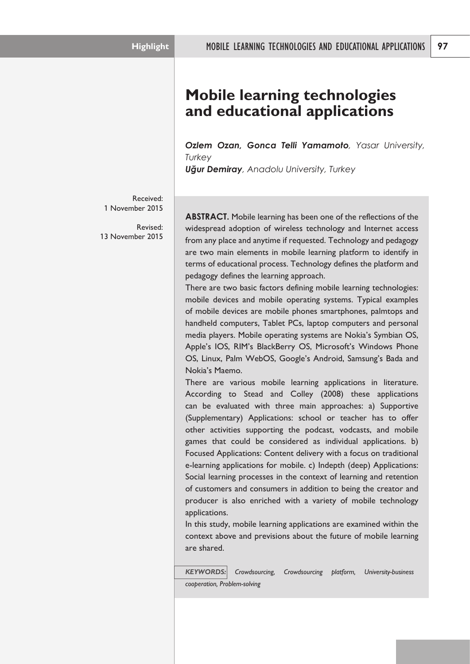# **Mobile learning technologies and educational applications**

*Ozlem Ozan, Gonca Telli Yamamoto, Yasar University, Turkey*

*Uğur Demiray, Anadolu University, Turkey*

Received: 1 November 2015

Revised: 13 November 2015

**ABSTRACT.** Mobile learning has been one of the reflections of the widespread adoption of wireless technology and Internet access from any place and anytime if requested. Technology and pedagogy are two main elements in mobile learning platform to identify in terms of educational process. Technology defines the platform and pedagogy defines the learning approach.

There are two basic factors defining mobile learning technologies: mobile devices and mobile operating systems. Typical examples of mobile devices are mobile phones smartphones, palmtops and handheld computers, Tablet PCs, laptop computers and personal media players. Mobile operating systems are Nokia's Symbian OS, Apple's IOS, RIM's BlackBerry OS, Microsoft's Windows Phone OS, Linux, Palm WebOS, Google's Android, Samsung's Bada and Nokia's Maemo.

There are various mobile learning applications in literature. According to Stead and Colley (2008) these applications can be evaluated with three main approaches: a) Supportive (Supplementary) Applications: school or teacher has to offer other activities supporting the podcast, vodcasts, and mobile games that could be considered as individual applications. b) Focused Applications: Content delivery with a focus on traditional e-learning applications for mobile. c) Indepth (deep) Applications: Social learning processes in the context of learning and retention of customers and consumers in addition to being the creator and producer is also enriched with a variety of mobile technology applications.

In this study, mobile learning applications are examined within the context above and previsions about the future of mobile learning are shared.

*KEYWORDS: Crowdsourcing, Crowdsourcing platform, University-business cooperation, Problem-solving*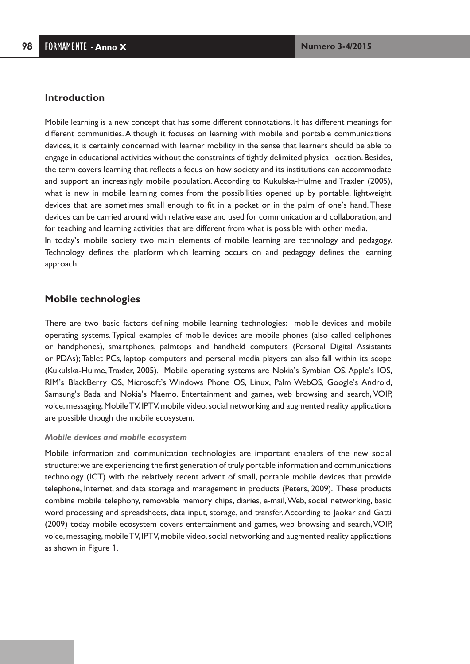### **Introduction**

Mobile learning is a new concept that has some different connotations. It has different meanings for different communities.Although it focuses on learning with mobile and portable communications devices, it is certainly concerned with learner mobility in the sense that learners should be able to engage in educational activities without the constraints of tightly delimited physical location.Besides, the term covers learning that reflects a focus on how society and its institutions can accommodate and support an increasingly mobile population. According to Kukulska-Hulme and Traxler (2005), what is new in mobile learning comes from the possibilities opened up by portable, lightweight devices that are sometimes small enough to fit in a pocket or in the palm of one's hand. These devices can be carried around with relative ease and used for communication and collaboration, and for teaching and learning activities that are different from what is possible with other media. In today's mobile society two main elements of mobile learning are technology and pedagogy.

Technology defines the platform which learning occurs on and pedagogy defines the learning approach.

# **Mobile technologies**

There are two basic factors defining mobile learning technologies: mobile devices and mobile operating systems. Typical examples of mobile devices are mobile phones (also called cellphones or handphones), smartphones, palmtops and handheld computers (Personal Digital Assistants or PDAs);Tablet PCs, laptop computers and personal media players can also fall within its scope (Kukulska-Hulme,Traxler, 2005). Mobile operating systems are Nokia's Symbian OS,Apple's IOS, RIM's BlackBerry OS, Microsoft's Windows Phone OS, Linux, Palm WebOS, Google's Android, Samsung's Bada and Nokia's Maemo. Entertainment and games, web browsing and search, VOIP, voice,messaging,MobileTV, IPTV,mobile video,social networking and augmented reality applications are possible though the mobile ecosystem.

#### *Mobile devices and mobile ecosystem*

Mobile information and communication technologies are important enablers of the new social structure;we are experiencing the first generation of truly portable information and communications technology (ICT) with the relatively recent advent of small, portable mobile devices that provide telephone, Internet, and data storage and management in products (Peters, 2009). These products combine mobile telephony, removable memory chips, diaries, e-mail,Web, social networking, basic word processing and spreadsheets, data input, storage, and transfer.According to Jaokar and Gatti (2009) today mobile ecosystem covers entertainment and games, web browsing and search,VOIP, voice,messaging,mobileTV, IPTV,mobile video,social networking and augmented reality applications as shown in Figure 1.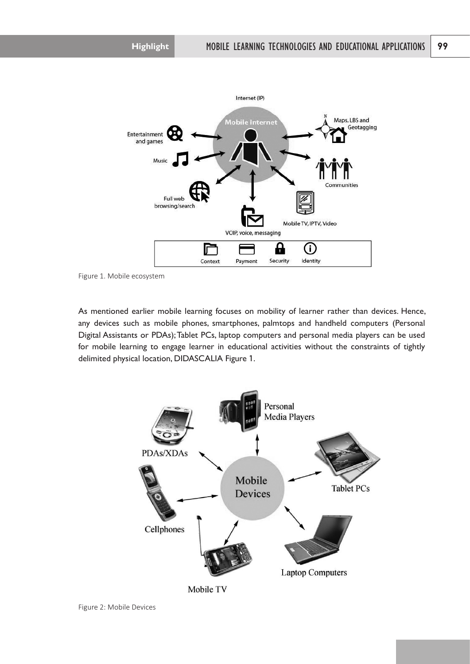

Figure 1. Mobile ecosystem

As mentioned earlier mobile learning focuses on mobility of learner rather than devices. Hence, any devices such as mobile phones, smartphones, palmtops and handheld computers (Personal Digital Assistants or PDAs);Tablet PCs, laptop computers and personal media players can be used for mobile learning to engage learner in educational activities without the constraints of tightly delimited physical location, DIDASCALIA Figure 1.



Mobile TV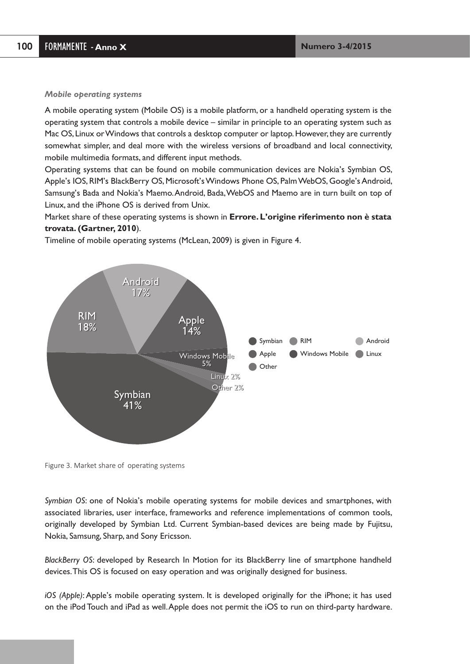#### *Mobile operating systems*

A mobile operating system (Mobile OS) is a mobile platform, or a handheld operating system is the operating system that controls a mobile device – similar in principle to an operating system such as Mac OS, Linux or Windows that controls a desktop computer or laptop. However, they are currently somewhat simpler, and deal more with the wireless versions of broadband and local connectivity, mobile multimedia formats, and different input methods.

Operating systems that can be found on mobile communication devices are Nokia's Symbian OS, Apple's IOS, RIM's BlackBerry OS, Microsoft's Windows Phone OS, Palm WebOS, Google's Android, Samsung's Bada and Nokia's Maemo.Android, Bada,WebOS and Maemo are in turn built on top of Linux, and the iPhone OS is derived from Unix.

Market share of these operating systems is shown in **Errore. L'origine riferimento non è stata trovata. (Gartner, 2010**).

**RIM** Windows Mobile (Calculation **Android** Symbian Apple **Other** RIM RIM 18% 18% Android Android 17% 17% Apple Apple 14% 14% Symbian Symbian 41% 41% Windows Mob<mark>ile</mark> 5% Linux 2% Other 2%

Timeline of mobile operating systems (McLean, 2009) is given in Figure 4.

Figure 3. Market share of operating systems

*Symbian OS*: one of Nokia's mobile operating systems for mobile devices and smartphones, with associated libraries, user interface, frameworks and reference implementations of common tools, originally developed by Symbian Ltd. Current Symbian-based devices are being made by Fujitsu, Nokia, Samsung, Sharp, and Sony Ericsson.

*BlackBerry OS*: developed by Research In Motion for its BlackBerry line of smartphone handheld devices.This OS is focused on easy operation and was originally designed for business.

*iOS (Apple)*: Apple's mobile operating system. It is developed originally for the iPhone; it has used on the iPod Touch and iPad as well.Apple does not permit the iOS to run on third-party hardware.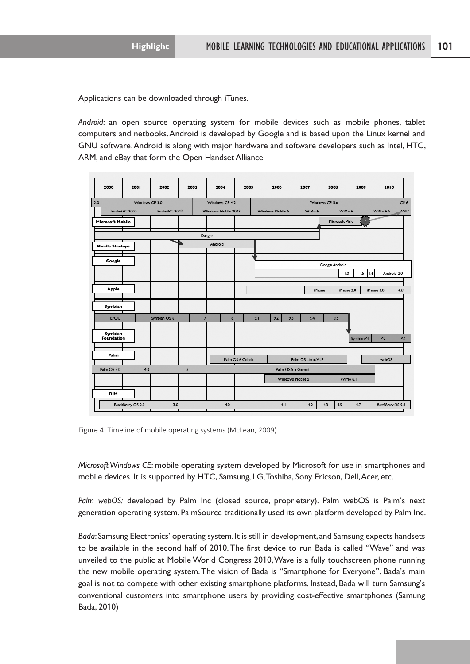Applications can be downloaded through iTunes.

*Android*: an open source operating system for mobile devices such as mobile phones, tablet computers and netbooks.Android is developed by Google and is based upon the Linux kernel and GNU software.Android is along with major hardware and software developers such as Intel, HTC, ARM, and eBay that form the Open Handset Alliance

| 2000                           | 2001              | 2002         | 2003 |                     | 2004                | 2005 |                   | 2006               |     | 2007     |                | 2008           | 2009       | 2010                        |
|--------------------------------|-------------------|--------------|------|---------------------|---------------------|------|-------------------|--------------------|-----|----------|----------------|----------------|------------|-----------------------------|
| Windows CE 3.0<br>2.0          |                   |              |      |                     | Windows CE 4.2      |      |                   |                    |     |          | Windows CE 5.x |                |            | CE <sub>6</sub>             |
| PocketPC 2000<br>PocketPC 2002 |                   |              |      |                     | Windows Mobile 2003 |      | Windows Mobile 5  |                    |     | WiMo 6   | WiMo 6.1       |                |            | WM7<br>WiMo 6.5             |
| <b>Microsoft Mobile</b>        |                   |              |      |                     |                     |      |                   |                    |     |          |                | Microsoft Pink | ю          |                             |
|                                |                   |              |      | Danger              |                     |      |                   |                    |     |          |                |                |            |                             |
| <b>Mobile Startups</b>         |                   |              |      | Android             |                     |      |                   |                    |     |          |                |                |            |                             |
| Google                         |                   |              |      |                     |                     |      | J                 |                    |     |          |                |                |            |                             |
|                                |                   |              |      |                     |                     |      |                   |                    |     |          |                | Google Android |            |                             |
|                                |                   |              |      |                     |                     |      |                   |                    |     |          |                | 1.0            | 1.5<br>1.6 | Android 2.0                 |
| <b>Apple</b>                   |                   |              |      |                     |                     |      |                   |                    |     |          | <b>IPhone</b>  | IPhone 2.0     |            | iPhone 3.0<br>4.0           |
| Symbian                        |                   |              |      |                     |                     |      |                   |                    |     |          |                |                |            |                             |
| <b>EPOC</b>                    |                   | Symbian OS 6 |      | $\overline{7}$<br>8 |                     |      | 9.1               | 9.2                | 9.3 | 9.4      |                | 9.5            |            |                             |
| Symbian<br>Foundation          |                   |              |      |                     |                     |      |                   |                    |     |          |                |                | Symbian ^1 | $A_3$<br>$^{\prime\prime}2$ |
| Palm                           |                   |              |      |                     |                     |      |                   |                    |     |          |                |                |            |                             |
|                                |                   |              |      |                     | Palm OS 6 Cobalt    |      | Palm OS Linux/ALP |                    |     |          |                |                | webOS      |                             |
| Palm OS 3.0                    | 4.0               |              | 5    |                     |                     |      |                   | Palm OS 5.x Garnet |     |          |                |                |            |                             |
|                                |                   |              |      |                     |                     |      |                   | Windows Mobile 5   |     | WiMo 6.1 |                |                |            |                             |
| <b>RIM</b>                     |                   |              |      |                     |                     |      |                   |                    |     |          |                |                |            |                             |
|                                | BlackBerry OS 2.0 | 3.0          |      |                     | 4.0                 |      |                   | 4.1                |     | 4.2      | 4.3            | 4.5            | 4.7        | BlackBerry OS 5.0           |

Figure 4. Timeline of mobile operating systems (McLean, 2009)

*Microsoft Windows CE*: mobile operating system developed by Microsoft for use in smartphones and mobile devices. It is supported by HTC, Samsung, LG, Toshiba, Sony Ericson, Dell, Acer, etc.

*Palm webOS:* developed by Palm Inc (closed source, proprietary). Palm webOS is Palm's next generation operating system. PalmSource traditionally used its own platform developed by Palm Inc.

*Bada*: Samsung Electronics' operating system.It is still in development, and Samsung expects handsets to be available in the second half of 2010.The first device to run Bada is called "Wave" and was unveiled to the public at Mobile World Congress 2010,Wave is a fully touchscreen phone running the new mobile operating system.The vision of Bada is "Smartphone for Everyone". Bada's main goal is not to compete with other existing smartphone platforms. Instead, Bada will turn Samsung's conventional customers into smartphone users by providing cost-effective smartphones (Samung Bada, 2010)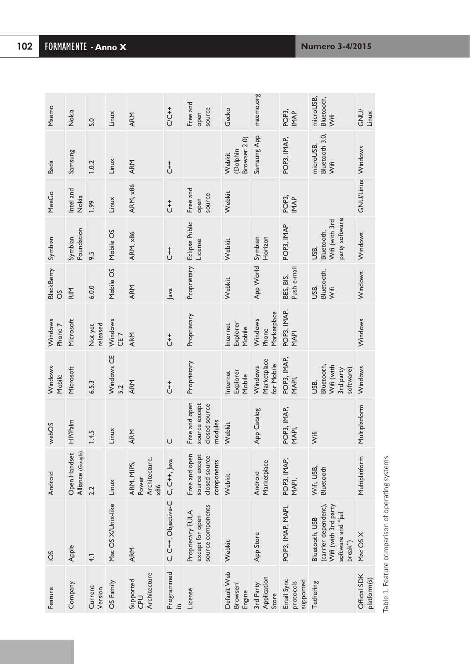| Maemo              | Nokia                             | 5.0                 | Linux                      | <b>ARM</b>                                          | $C/C + +$           | Free and<br>source<br>open                                    | Gecko                              | maemo.org                            | POP <sub>3</sub><br><b>IMAP</b>      | microUSB,<br>Bluetooth,<br><b>Vifi</b>                                                          | <b>GND</b><br>Linux         |
|--------------------|-----------------------------------|---------------------|----------------------------|-----------------------------------------------------|---------------------|---------------------------------------------------------------|------------------------------------|--------------------------------------|--------------------------------------|-------------------------------------------------------------------------------------------------|-----------------------------|
| <b>Bada</b>        | Samsung                           | 1.0.2               | Linux                      | ARM                                                 | $\overline{t}$      |                                                               | Browser 2.0)<br>(Dolphin<br>Webkit | Samsung App                          | POP3, IMAP,                          | Bluetooth 3.0,<br>microUSB,<br>γifi                                                             |                             |
| MeeGo              | Intel and<br>Nokia                | 1.99                | Linux                      | ARM, x86                                            | $\overline{t}$      | Free and<br>source<br>open                                    | Webkit                             |                                      | POP <sub>3</sub><br><b>IMAP</b>      |                                                                                                 | GNU/Linux Windows           |
| Symbian            | Foundation<br>Symbian             | 9.5                 | Mobile OS                  | <b>ARM, x86</b>                                     | $\overline{t}$      | Eclipse Public<br>License                                     | Webkit                             | Horizon<br>Symbian                   | POP3, IMAP                           | party software<br>Wifi (with 3rd<br>Bluetooth,<br>USB,                                          | Windows                     |
| BlackBerry<br>SO   | $\frac{M}{R}$                     | 6.0.0               | Mobile OS                  | ARM                                                 | Java                | Proprietary                                                   | Webkit                             | App World                            | Push e-mail<br>BES, BIS,             | Bluetooth,<br>USB,<br><b>Š</b>                                                                  | Windows                     |
| Windows<br>Phone 7 | Microsoft                         | released<br>Not yet | Windows<br>CE <sub>7</sub> | <b>ARM</b>                                          | $\overline{t}$      | Proprietary                                                   | Explorer<br>nternet<br>Mobile      | Marketplace<br>Windows<br>Phone      | POP3, IMAP,<br>MAPI                  |                                                                                                 | Windows                     |
| Windows<br>Mobile  | Microsoft                         | 6.5.3               | Windows CE<br>5.2          | ARM                                                 | $\overline{t}$      | Proprietary                                                   | Explorer<br>nternet<br>Mobile      | Marketplace<br>for Mobile<br>Windows | POP3, IMAP,<br>MAPI,                 | Bluetooth,<br>Wifi (with<br>3rd party<br>software)<br>USB,                                      | Windows                     |
| webOS              | HP/Palm                           | 1.4.5               | Linux                      | ARM                                                 | $\cup$              | Free and open<br>source except<br>closed source<br>modules    | Webkit                             | App Catalog                          | POP3, IMAP,<br>MAPI,                 | <b>Vifí</b>                                                                                     | Multiplatform               |
| Android            | Alliance (Google)<br>Open Handset | 2.2                 | Linux                      | Architecture,<br>ARM, MIPS,<br>Power<br>$\times 86$ | $C, C++, Java$      | Free and open<br>source except<br>closed source<br>components | Webkit                             | Marketplace<br>Android               | POP3, IMAP,<br>MAPI,                 | Wifi, USB,<br>Bluetooth                                                                         | Multiplatform               |
| SOi                | Apple                             | $\overline{4}$      | Mac OS X/Unix-like         | ARM                                                 | C, C++, Objective-C | source components<br>Proprietary EULA<br>except for open      | Webkit                             | App Store                            | POP3, IMAP, MAPI,                    | (carrier dependent),<br>Wifi (with 3rd party<br>software and "jail<br>Bluetooth, USB<br>break") | Mac OS X                    |
| Feature            | Company                           | Current<br>Version  | OS Family                  | Architecture<br>Supported<br>CPU                    | Programmed          | License                                                       | Default Web<br>Browser/<br>Engine  | Application<br>3rd Party<br>Store    | Email Sync<br>supported<br>protocols | Tethering                                                                                       | Official SDK<br>platform(s) |

Table 1. Feature comparison of operating systems Table 1. Feature comparison of operating systems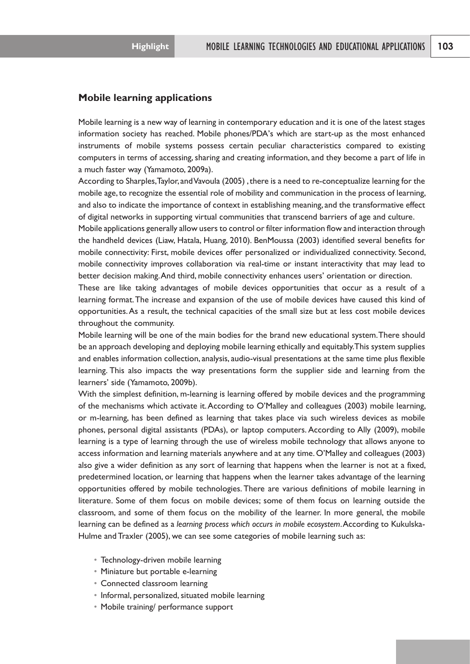# **Mobile learning applications**

Mobile learning is a new way of learning in contemporary education and it is one of the latest stages information society has reached. Mobile phones/PDA's which are start-up as the most enhanced instruments of mobile systems possess certain peculiar characteristics compared to existing computers in terms of accessing, sharing and creating information, and they become a part of life in a much faster way (Yamamoto, 2009a).

According to Sharples, Taylor, and Vavoula (2005), there is a need to re-conceptualize learning for the mobile age, to recognize the essential role of mobility and communication in the process of learning, and also to indicate the importance of context in establishing meaning, and the transformative effect of digital networks in supporting virtual communities that transcend barriers of age and culture.

Mobile applications generally allow users to control or filter information flow and interaction through the handheld devices (Liaw, Hatala, Huang, 2010). BenMoussa (2003) identified several benefits for mobile connectivity: First, mobile devices offer personalized or individualized connectivity. Second, mobile connectivity improves collaboration via real-time or instant interactivity that may lead to better decision making.And third, mobile connectivity enhances users' orientation or direction.

These are like taking advantages of mobile devices opportunities that occur as a result of a learning format.The increase and expansion of the use of mobile devices have caused this kind of opportunities.As a result, the technical capacities of the small size but at less cost mobile devices throughout the community.

Mobile learning will be one of the main bodies for the brand new educational system.There should be an approach developing and deploying mobile learning ethically and equitably.This system supplies and enables information collection, analysis, audio-visual presentations at the same time plus flexible learning. This also impacts the way presentations form the supplier side and learning from the learners' side (Yamamoto, 2009b).

With the simplest definition, m-learning is learning offered by mobile devices and the programming of the mechanisms which activate it.According to O'Malley and colleagues (2003) mobile learning, or m-learning, has been defined as learning that takes place via such wireless devices as mobile phones, personal digital assistants (PDAs), or laptop computers. According to Ally (2009), mobile learning is a type of learning through the use of wireless mobile technology that allows anyone to access information and learning materials anywhere and at any time. O'Malley and colleagues (2003) also give a wider definition as any sort of learning that happens when the learner is not at a fixed, predetermined location, or learning that happens when the learner takes advantage of the learning opportunities offered by mobile technologies. There are various definitions of mobile learning in literature. Some of them focus on mobile devices; some of them focus on learning outside the classroom, and some of them focus on the mobility of the learner. In more general, the mobile learning can be defined as a *learning process which occurs in mobile ecosystem*.According to Kukulska-Hulme and Traxler (2005), we can see some categories of mobile learning such as:

- • Technology-driven mobile learning
- Miniature but portable e-learning
- • Connected classroom learning
- Informal, personalized, situated mobile learning
- • Mobile training/ performance support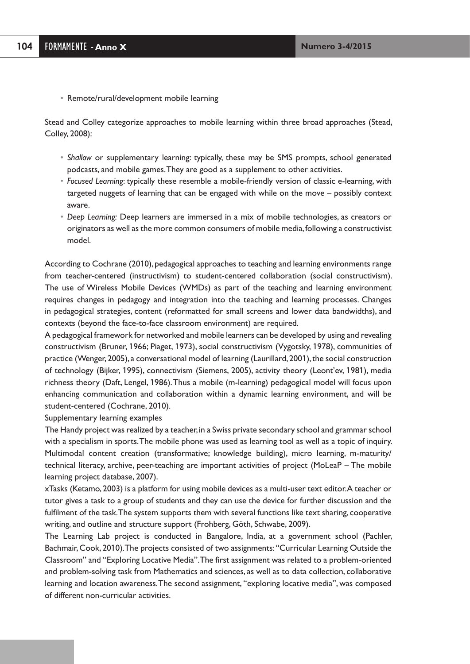• Remote/rural/development mobile learning

Stead and Colley categorize approaches to mobile learning within three broad approaches (Stead, Colley, 2008):

- • *Shallow* or supplementary learning: typically, these may be SMS prompts, school generated podcasts, and mobile games.They are good as a supplement to other activities.
- • *Focused Learning*: typically these resemble a mobile-friendly version of classic e-learning, with targeted nuggets of learning that can be engaged with while on the move – possibly context aware.
- • *Deep Learning:* Deep learners are immersed in a mix of mobile technologies, as creators or originators as well as the more common consumers of mobile media,following a constructivist model.

According to Cochrane (2010), pedagogical approaches to teaching and learning environments range from teacher-centered (instructivism) to student-centered collaboration (social constructivism). The use of Wireless Mobile Devices (WMDs) as part of the teaching and learning environment requires changes in pedagogy and integration into the teaching and learning processes. Changes in pedagogical strategies, content (reformatted for small screens and lower data bandwidths), and contexts (beyond the face-to-face classroom environment) are required.

A pedagogical framework for networked and mobile learners can be developed by using and revealing constructivism (Bruner, 1966; Piaget, 1973), social constructivism (Vygotsky, 1978), communities of practice (Wenger,2005), a conversational model of learning (Laurillard,2001),the social construction of technology (Bijker, 1995), connectivism (Siemens, 2005), activity theory (Leont'ev, 1981), media richness theory (Daft, Lengel, 1986).Thus a mobile (m-learning) pedagogical model will focus upon enhancing communication and collaboration within a dynamic learning environment, and will be student-centered (Cochrane, 2010).

Supplementary learning examples

The Handy project was realized by a teacher, in a Swiss private secondary school and grammar school with a specialism in sports.The mobile phone was used as learning tool as well as a topic of inquiry. Multimodal content creation (transformative; knowledge building), micro learning, m-maturity/ technical literacy, archive, peer-teaching are important activities of project (MoLeaP – The mobile learning project database, 2007).

xTasks (Ketamo, 2003) is a platform for using mobile devices as a multi-user text editor.A teacher or tutor gives a task to a group of students and they can use the device for further discussion and the fulfilment of the task.The system supports them with several functions like text sharing, cooperative writing, and outline and structure support (Frohberg, Göth, Schwabe, 2009).

The Learning Lab project is conducted in Bangalore, India, at a government school (Pachler, Bachmair,Cook, 2010).The projects consisted of two assignments: "Curricular Learning Outside the Classroom" and "Exploring Locative Media".The first assignment was related to a problem-oriented and problem-solving task from Mathematics and sciences, as well as to data collection, collaborative learning and location awareness.The second assignment, "exploring locative media", was composed of different non-curricular activities.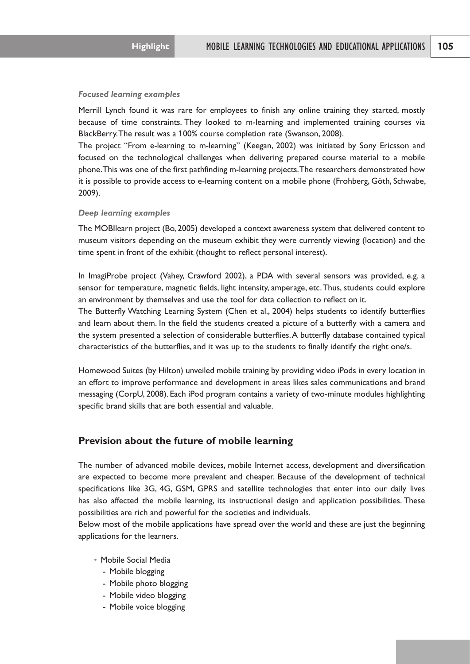#### *Focused learning examples*

Merrill Lynch found it was rare for employees to finish any online training they started, mostly because of time constraints. They looked to m-learning and implemented training courses via BlackBerry.The result was a 100% course completion rate (Swanson, 2008).

The project "From e-learning to m-learning" (Keegan, 2002) was initiated by Sony Ericsson and focused on the technological challenges when delivering prepared course material to a mobile phone.This was one of the first pathfinding m-learning projects.The researchers demonstrated how it is possible to provide access to e-learning content on a mobile phone (Frohberg, Göth, Schwabe, 2009).

#### *Deep learning examples*

The MOBIlearn project (Bo, 2005) developed a context awareness system that delivered content to museum visitors depending on the museum exhibit they were currently viewing (location) and the time spent in front of the exhibit (thought to reflect personal interest).

In ImagiProbe project (Vahey, Crawford 2002), a PDA with several sensors was provided, e.g. a sensor for temperature, magnetic fields, light intensity, amperage, etc.Thus, students could explore an environment by themselves and use the tool for data collection to reflect on it.

The Butterfly Watching Learning System (Chen et al., 2004) helps students to identify butterflies and learn about them. In the field the students created a picture of a butterfly with a camera and the system presented a selection of considerable butterflies.A butterfly database contained typical characteristics of the butterflies, and it was up to the students to finally identify the right one/s.

Homewood Suites (by Hilton) unveiled mobile training by providing video iPods in every location in an effort to improve performance and development in areas likes sales communications and brand messaging (CorpU, 2008). Each iPod program contains a variety of two-minute modules highlighting specific brand skills that are both essential and valuable.

# **Prevision about the future of mobile learning**

The number of advanced mobile devices, mobile Internet access, development and diversification are expected to become more prevalent and cheaper. Because of the development of technical specifications like 3G, 4G, GSM, GPRS and satellite technologies that enter into our daily lives has also affected the mobile learning, its instructional design and application possibilities. These possibilities are rich and powerful for the societies and individuals.

Below most of the mobile applications have spread over the world and these are just the beginning applications for the learners.

- • Mobile Social Media
	- Mobile blogging
	- Mobile photo blogging
	- Mobile video blogging
	- Mobile voice blogging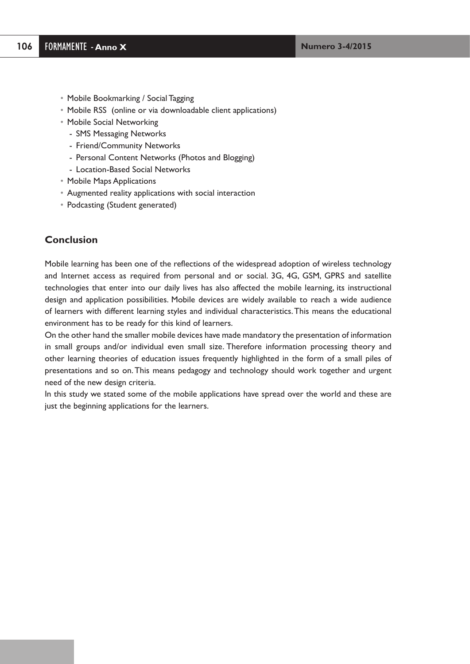- Mobile Bookmarking / Social Tagging
- Mobile RSS (online or via downloadable client applications)
- • Mobile Social Networking
	- SMS Messaging Networks
	- Friend/Community Networks
	- Personal Content Networks (Photos and Blogging)
	- Location-Based Social Networks
- • Mobile Maps Applications
- • Augmented reality applications with social interaction
- Podcasting (Student generated)

# **Conclusion**

Mobile learning has been one of the reflections of the widespread adoption of wireless technology and Internet access as required from personal and or social. 3G, 4G, GSM, GPRS and satellite technologies that enter into our daily lives has also affected the mobile learning, its instructional design and application possibilities. Mobile devices are widely available to reach a wide audience of learners with different learning styles and individual characteristics.This means the educational environment has to be ready for this kind of learners.

On the other hand the smaller mobile devices have made mandatory the presentation of information in small groups and/or individual even small size. Therefore information processing theory and other learning theories of education issues frequently highlighted in the form of a small piles of presentations and so on.This means pedagogy and technology should work together and urgent need of the new design criteria.

In this study we stated some of the mobile applications have spread over the world and these are just the beginning applications for the learners.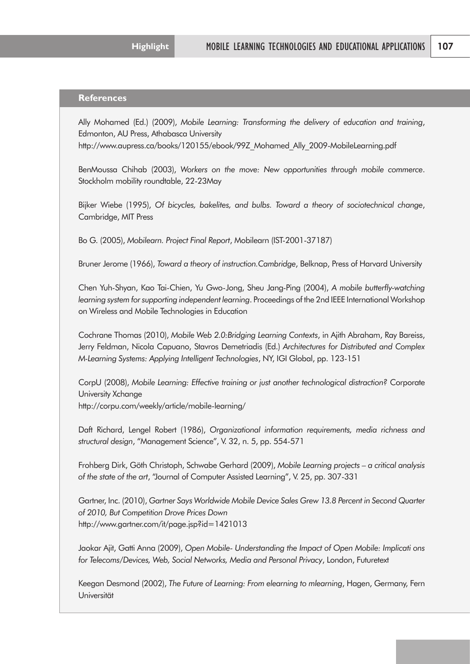# **References**

Ally Mohamed (Ed.) (2009), *Mobile Learning: Transforming the delivery of education and training*, Edmonton, AU Press, Athabasca University

http://www.aupress.ca/books/120155/ebook/99Z\_Mohamed\_Ally\_2009-MobileLearning.pdf

BenMoussa Chihab (2003), *Workers on the move: New opportunities through mobile commerce*. Stockholm mobility roundtable, 22-23May

Bijker Wiebe (1995), *Of bicycles, bakelites, and bulbs. Toward a theory of sociotechnical change*, Cambridge, MIT Press

Bo G. (2005), *Mobilearn. Project Final Report*, Mobilearn (IST-2001-37187)

Bruner Jerome (1966), *Toward a theory of instruction.Cambridge*, Belknap, Press of Harvard University

Chen Yuh-Shyan, Kao Tai-Chien, Yu Gwo-Jong, Sheu Jang-Ping (2004), *A mobile butterfly-watching learning system for supporting independent learning*. Proceedings of the 2nd IEEE International Workshop on Wireless and Mobile Technologies in Education

Cochrane Thomas (2010), *Mobile Web 2.0:Bridging Learning Contexts*, in Ajith Abraham, Ray Bareiss, Jerry Feldman, Nicola Capuano, Stavros Demetriadis (Ed.) *Architectures for Distributed and Complex M-Learning Systems: Applying Intelligent Technologies*, NY, IGI Global, pp. 123-151

CorpU (2008), *Mobile Learning: Effective training or just another technological distraction?* Corporate University Xchange

http://corpu.com/weekly/article/mobile-learning/

Daft Richard, Lengel Robert (1986), *Organizational information requirements, media richness and structural design*, "Management Science", V. 32, n. 5, pp. 554-571

Frohberg Dirk, Göth Christoph, Schwabe Gerhard (2009), *Mobile Learning projects – a critical analysis of the state of the art*, "Journal of Computer Assisted Learning", V. 25, pp. 307-331

Gartner, Inc. (2010), *Gartner Says Worldwide Mobile Device Sales Grew 13.8 Percent in Second Quarter of 2010, But Competition Drove Prices Down* http://www.gartner.com/it/page.jsp?id=1421013

Jaokar Ajit, Gatti Anna (2009), *Open Mobile- Understanding the Impact of Open Mobile: Implicati ons for Telecoms/Devices, Web, Social Networks, Media and Personal Privacy*, London, Futuretext

Keegan Desmond (2002), *The Future of Learning: From elearning to mlearning*, Hagen, Germany, Fern Universität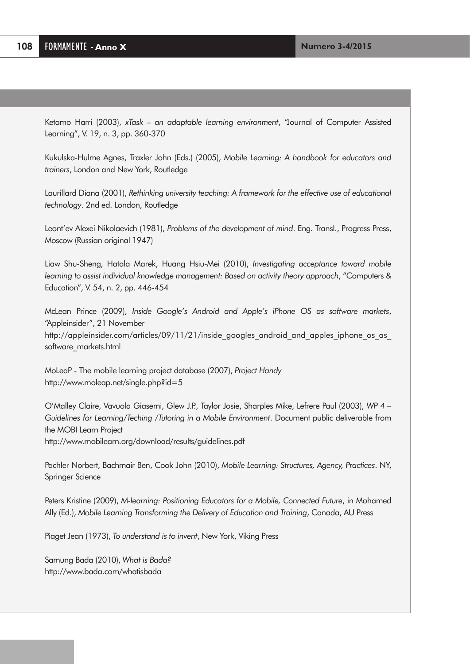Ketamo Harri (2003), *xTask – an adaptable learning environment*, "Journal of Computer Assisted Learning", V. 19, n. 3, pp. 360-370

Kukulska-Hulme Agnes, Traxler John (Eds.) (2005), *Mobile Learning: A handbook for educators and trainers*, London and New York, Routledge

Laurillard Diana (2001), *Rethinking university teaching: A framework for the effective use of educational technology*. 2nd ed. London, Routledge

Leont'ev Alexei Nikolaevich (1981), *Problems of the development of mind*. Eng. Transl., Progress Press, Moscow (Russian original 1947)

Liaw Shu-Sheng, Hatala Marek, Huang Hsiu-Mei (2010), *Investigating acceptance toward mobile learning to assist individual knowledge management: Based on activity theory approach*, "Computers & Education", V. 54, n. 2, pp. 446-454

McLean Prince (2009), *Inside Google's Android and Apple's iPhone OS as software markets*, "Appleinsider", 21 November http://appleinsider.com/articles/09/11/21/inside\_googles\_android\_and\_apples\_iphone\_os\_as software\_markets.html

MoLeaP - The mobile learning project database (2007), *Project Handy* http://www.moleap.net/single.php?id=5

O'Malley Claire, Vavuola Giasemi, Glew J.P., Taylor Josie, Sharples Mike, Lefrere Paul (2003), *WP 4 – Guidelines for Learning/Teching /Tutoring in a Mobile Environment*. Document public deliverable from the MOBI Learn Project http://www.mobilearn.org/download/results/guidelines.pdf

Pachler Norbert, Bachmair Ben, Cook John (2010), *Mobile Learning: Structures, Agency, Practices*. NY, Springer Science

Peters Kristine (2009), *M-learning: Positioning Educators for a Mobile, Connected Future*, in Mohamed Ally (Ed.), *Mobile Learning Transforming the Delivery of Education and Training*, Canada, AU Press

Piaget Jean (1973), *To understand is to invent*, New York, Viking Press

Samung Bada (2010), *What is Bada?* http://www.bada.com/whatisbada